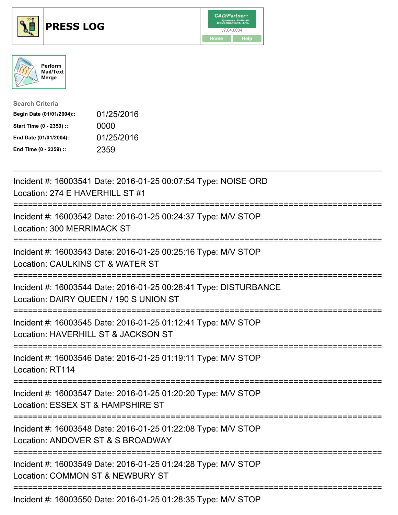





| <b>Search Criteria</b>    |            |
|---------------------------|------------|
| Begin Date (01/01/2004):: | 01/25/2016 |
| Start Time (0 - 2359) ::  | 0000       |
| End Date (01/01/2004)::   | 01/25/2016 |
| End Time (0 - 2359) ::    | 2359       |

| Incident #: 16003541 Date: 2016-01-25 00:07:54 Type: NOISE ORD<br>Location: 274 E HAVERHILL ST #1<br>---------                            |
|-------------------------------------------------------------------------------------------------------------------------------------------|
| Incident #: 16003542 Date: 2016-01-25 00:24:37 Type: M/V STOP<br>Location: 300 MERRIMACK ST<br>============                               |
| Incident #: 16003543 Date: 2016-01-25 00:25:16 Type: M/V STOP<br>Location: CAULKINS CT & WATER ST<br>--------                             |
| Incident #: 16003544 Date: 2016-01-25 00:28:41 Type: DISTURBANCE<br>Location: DAIRY QUEEN / 190 S UNION ST<br>.-------------------------- |
| Incident #: 16003545 Date: 2016-01-25 01:12:41 Type: M/V STOP<br>Location: HAVERHILL ST & JACKSON ST<br>:===========================      |
| Incident #: 16003546 Date: 2016-01-25 01:19:11 Type: M/V STOP<br>Location: RT114                                                          |
| Incident #: 16003547 Date: 2016-01-25 01:20:20 Type: M/V STOP<br>Location: ESSEX ST & HAMPSHIRE ST                                        |
| Incident #: 16003548 Date: 2016-01-25 01:22:08 Type: M/V STOP<br>Location: ANDOVER ST & S BROADWAY<br>============================        |
| Incident #: 16003549 Date: 2016-01-25 01:24:28 Type: M/V STOP<br>Location: COMMON ST & NEWBURY ST                                         |
| ------------------------------<br>Incident #: 16003550 Date: 2016-01-25 01:28:35 Type: M/V STOP                                           |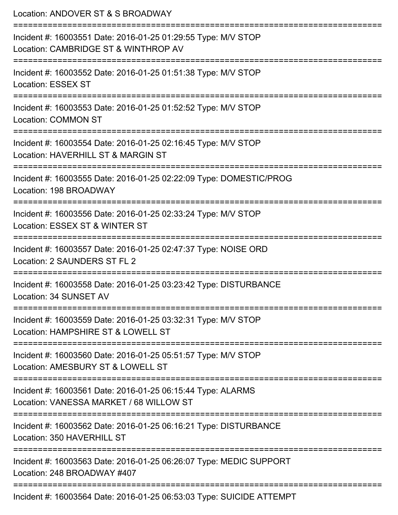Location: ANDOVER ST & S BROADWAY =========================================================================== Incident #: 16003551 Date: 2016-01-25 01:29:55 Type: M/V STOP Location: CAMBRIDGE ST & WINTHROP AV =========================================================================== Incident #: 16003552 Date: 2016-01-25 01:51:38 Type: M/V STOP Location: ESSEX ST =========================================================================== Incident #: 16003553 Date: 2016-01-25 01:52:52 Type: M/V STOP Location: COMMON ST =========================================================================== Incident #: 16003554 Date: 2016-01-25 02:16:45 Type: M/V STOP Location: HAVERHILL ST & MARGIN ST =========================================================================== Incident #: 16003555 Date: 2016-01-25 02:22:09 Type: DOMESTIC/PROG Location: 198 BROADWAY =========================================================================== Incident #: 16003556 Date: 2016-01-25 02:33:24 Type: M/V STOP Location: ESSEX ST & WINTER ST =========================================================================== Incident #: 16003557 Date: 2016-01-25 02:47:37 Type: NOISE ORD Location: 2 SAUNDERS ST FL 2 =========================================================================== Incident #: 16003558 Date: 2016-01-25 03:23:42 Type: DISTURBANCE Location: 34 SUNSET AV =========================================================================== Incident #: 16003559 Date: 2016-01-25 03:32:31 Type: M/V STOP Location: HAMPSHIRF ST & LOWELL ST =========================================================================== Incident #: 16003560 Date: 2016-01-25 05:51:57 Type: M/V STOP Location: AMESBURY ST & LOWELL ST =========================================================================== Incident #: 16003561 Date: 2016-01-25 06:15:44 Type: ALARMS Location: VANESSA MARKET / 68 WILLOW ST =========================================================================== Incident #: 16003562 Date: 2016-01-25 06:16:21 Type: DISTURBANCE Location: 350 HAVERHILL ST =========================================================================== Incident #: 16003563 Date: 2016-01-25 06:26:07 Type: MEDIC SUPPORT Location: 248 BROADWAY #407 =========================================================================== Incident #: 16003564 Date: 2016-01-25 06:53:03 Type: SUICIDE ATTEMPT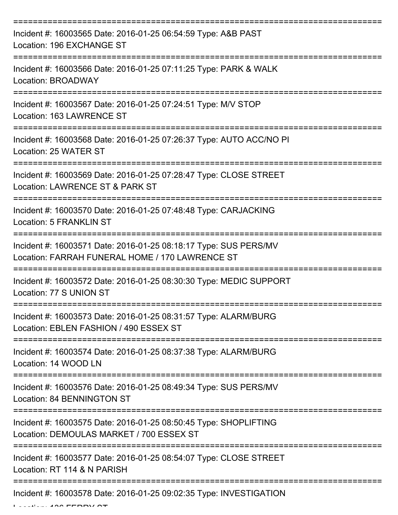| Incident #: 16003565 Date: 2016-01-25 06:54:59 Type: A&B PAST<br>Location: 196 EXCHANGE ST                          |
|---------------------------------------------------------------------------------------------------------------------|
| Incident #: 16003566 Date: 2016-01-25 07:11:25 Type: PARK & WALK<br>Location: BROADWAY                              |
| Incident #: 16003567 Date: 2016-01-25 07:24:51 Type: M/V STOP<br>Location: 163 LAWRENCE ST                          |
| Incident #: 16003568 Date: 2016-01-25 07:26:37 Type: AUTO ACC/NO PI<br>Location: 25 WATER ST                        |
| Incident #: 16003569 Date: 2016-01-25 07:28:47 Type: CLOSE STREET<br>Location: LAWRENCE ST & PARK ST                |
| Incident #: 16003570 Date: 2016-01-25 07:48:48 Type: CARJACKING<br><b>Location: 5 FRANKLIN ST</b>                   |
| Incident #: 16003571 Date: 2016-01-25 08:18:17 Type: SUS PERS/MV<br>Location: FARRAH FUNERAL HOME / 170 LAWRENCE ST |
| Incident #: 16003572 Date: 2016-01-25 08:30:30 Type: MEDIC SUPPORT<br>Location: 77 S UNION ST                       |
| Incident #: 16003573 Date: 2016-01-25 08:31:57 Type: ALARM/BURG<br>Location: EBLEN FASHION / 490 ESSEX ST           |
| Incident #: 16003574 Date: 2016-01-25 08:37:38 Type: ALARM/BURG<br>Location: 14 WOOD LN                             |
| Incident #: 16003576 Date: 2016-01-25 08:49:34 Type: SUS PERS/MV<br>Location: 84 BENNINGTON ST                      |
| Incident #: 16003575 Date: 2016-01-25 08:50:45 Type: SHOPLIFTING<br>Location: DEMOULAS MARKET / 700 ESSEX ST        |
| Incident #: 16003577 Date: 2016-01-25 08:54:07 Type: CLOSE STREET<br>Location: RT 114 & N PARISH                    |
| Incident #: 16003578 Date: 2016-01-25 09:02:35 Type: INVESTIGATION                                                  |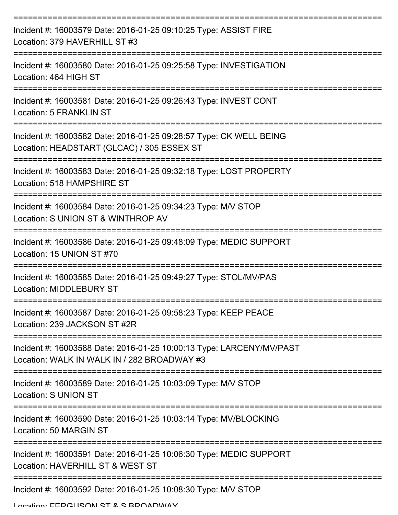| Incident #: 16003579 Date: 2016-01-25 09:10:25 Type: ASSIST FIRE<br>Location: 379 HAVERHILL ST #3                   |
|---------------------------------------------------------------------------------------------------------------------|
| Incident #: 16003580 Date: 2016-01-25 09:25:58 Type: INVESTIGATION<br>Location: 464 HIGH ST                         |
| Incident #: 16003581 Date: 2016-01-25 09:26:43 Type: INVEST CONT<br><b>Location: 5 FRANKLIN ST</b>                  |
| Incident #: 16003582 Date: 2016-01-25 09:28:57 Type: CK WELL BEING<br>Location: HEADSTART (GLCAC) / 305 ESSEX ST    |
| Incident #: 16003583 Date: 2016-01-25 09:32:18 Type: LOST PROPERTY<br>Location: 518 HAMPSHIRE ST                    |
| Incident #: 16003584 Date: 2016-01-25 09:34:23 Type: M/V STOP<br>Location: S UNION ST & WINTHROP AV                 |
| Incident #: 16003586 Date: 2016-01-25 09:48:09 Type: MEDIC SUPPORT<br>Location: 15 UNION ST #70                     |
| Incident #: 16003585 Date: 2016-01-25 09:49:27 Type: STOL/MV/PAS<br>Location: MIDDLEBURY ST                         |
| Incident #: 16003587 Date: 2016-01-25 09:58:23 Type: KEEP PEACE<br>Location: 239 JACKSON ST #2R                     |
| Incident #: 16003588 Date: 2016-01-25 10:00:13 Type: LARCENY/MV/PAST<br>Location: WALK IN WALK IN / 282 BROADWAY #3 |
| Incident #: 16003589 Date: 2016-01-25 10:03:09 Type: M/V STOP<br>Location: S UNION ST                               |
| Incident #: 16003590 Date: 2016-01-25 10:03:14 Type: MV/BLOCKING<br>Location: 50 MARGIN ST                          |
| Incident #: 16003591 Date: 2016-01-25 10:06:30 Type: MEDIC SUPPORT<br>Location: HAVERHILL ST & WEST ST              |
| Incident #: 16003592 Date: 2016-01-25 10:08:30 Type: M/V STOP                                                       |

Location: EEDCHICAN ST & S BBAADWAY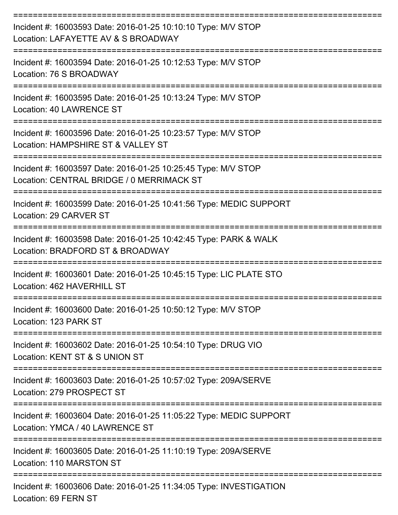| Incident #: 16003593 Date: 2016-01-25 10:10:10 Type: M/V STOP<br>Location: LAFAYETTE AV & S BROADWAY                 |
|----------------------------------------------------------------------------------------------------------------------|
| Incident #: 16003594 Date: 2016-01-25 10:12:53 Type: M/V STOP<br>Location: 76 S BROADWAY                             |
| Incident #: 16003595 Date: 2016-01-25 10:13:24 Type: M/V STOP<br>Location: 40 LAWRENCE ST                            |
| Incident #: 16003596 Date: 2016-01-25 10:23:57 Type: M/V STOP<br>Location: HAMPSHIRE ST & VALLEY ST                  |
| Incident #: 16003597 Date: 2016-01-25 10:25:45 Type: M/V STOP<br>Location: CENTRAL BRIDGE / 0 MERRIMACK ST           |
| Incident #: 16003599 Date: 2016-01-25 10:41:56 Type: MEDIC SUPPORT<br>Location: 29 CARVER ST                         |
| Incident #: 16003598 Date: 2016-01-25 10:42:45 Type: PARK & WALK<br>Location: BRADFORD ST & BROADWAY                 |
| Incident #: 16003601 Date: 2016-01-25 10:45:15 Type: LIC PLATE STO<br>Location: 462 HAVERHILL ST                     |
| Incident #: 16003600 Date: 2016-01-25 10:50:12 Type: M/V STOP<br>Location: 123 PARK ST                               |
| =================<br>Incident #: 16003602 Date: 2016-01-25 10:54:10 Type: DRUG VIO<br>Location: KENT ST & S UNION ST |
| Incident #: 16003603 Date: 2016-01-25 10:57:02 Type: 209A/SERVE<br>Location: 279 PROSPECT ST                         |
| Incident #: 16003604 Date: 2016-01-25 11:05:22 Type: MEDIC SUPPORT<br>Location: YMCA / 40 LAWRENCE ST                |
| Incident #: 16003605 Date: 2016-01-25 11:10:19 Type: 209A/SERVE<br>Location: 110 MARSTON ST                          |
| Incident #: 16003606 Date: 2016-01-25 11:34:05 Type: INVESTIGATION<br>Location: 69 FERN ST                           |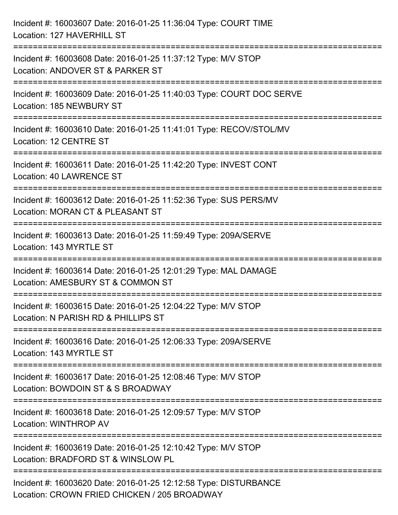| Incident #: 16003607 Date: 2016-01-25 11:36:04 Type: COURT TIME<br>Location: 127 HAVERHILL ST                                             |
|-------------------------------------------------------------------------------------------------------------------------------------------|
| ====================================<br>Incident #: 16003608 Date: 2016-01-25 11:37:12 Type: M/V STOP<br>Location: ANDOVER ST & PARKER ST |
| Incident #: 16003609 Date: 2016-01-25 11:40:03 Type: COURT DOC SERVE<br>Location: 185 NEWBURY ST<br>===================================   |
| Incident #: 16003610 Date: 2016-01-25 11:41:01 Type: RECOV/STOL/MV<br>Location: 12 CENTRE ST                                              |
| Incident #: 16003611 Date: 2016-01-25 11:42:20 Type: INVEST CONT<br>Location: 40 LAWRENCE ST                                              |
| Incident #: 16003612 Date: 2016-01-25 11:52:36 Type: SUS PERS/MV<br>Location: MORAN CT & PLEASANT ST                                      |
| Incident #: 16003613 Date: 2016-01-25 11:59:49 Type: 209A/SERVE<br>Location: 143 MYRTLE ST                                                |
| Incident #: 16003614 Date: 2016-01-25 12:01:29 Type: MAL DAMAGE<br>Location: AMESBURY ST & COMMON ST                                      |
| Incident #: 16003615 Date: 2016-01-25 12:04:22 Type: M/V STOP<br>Location: N PARISH RD & PHILLIPS ST                                      |
| Incident #: 16003616 Date: 2016-01-25 12:06:33 Type: 209A/SERVE<br>Location: 143 MYRTLE ST                                                |
| Incident #: 16003617 Date: 2016-01-25 12:08:46 Type: M/V STOP<br>Location: BOWDOIN ST & S BROADWAY                                        |
| Incident #: 16003618 Date: 2016-01-25 12:09:57 Type: M/V STOP<br>Location: WINTHROP AV                                                    |
| Incident #: 16003619 Date: 2016-01-25 12:10:42 Type: M/V STOP<br>Location: BRADFORD ST & WINSLOW PL                                       |
| Incident #: 16003620 Date: 2016-01-25 12:12:58 Type: DISTURBANCE<br>Location: CROWN FRIED CHICKEN / 205 BROADWAY                          |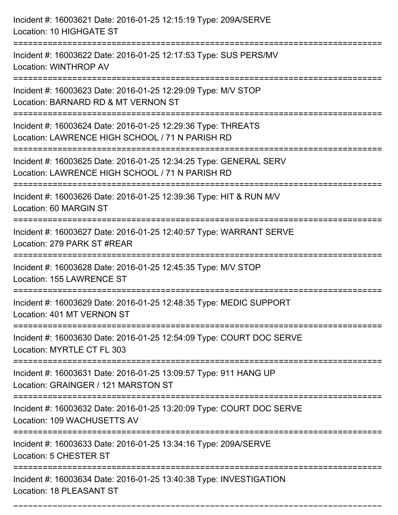| Incident #: 16003621 Date: 2016-01-25 12:15:19 Type: 209A/SERVE<br>Location: 10 HIGHGATE ST                                              |
|------------------------------------------------------------------------------------------------------------------------------------------|
| Incident #: 16003622 Date: 2016-01-25 12:17:53 Type: SUS PERS/MV<br>Location: WINTHROP AV                                                |
| Incident #: 16003623 Date: 2016-01-25 12:29:09 Type: M/V STOP<br>Location: BARNARD RD & MT VERNON ST<br>================================ |
| Incident #: 16003624 Date: 2016-01-25 12:29:36 Type: THREATS<br>Location: LAWRENCE HIGH SCHOOL / 71 N PARISH RD                          |
| Incident #: 16003625 Date: 2016-01-25 12:34:25 Type: GENERAL SERV<br>Location: LAWRENCE HIGH SCHOOL / 71 N PARISH RD                     |
| Incident #: 16003626 Date: 2016-01-25 12:39:36 Type: HIT & RUN M/V<br>Location: 60 MARGIN ST                                             |
| Incident #: 16003627 Date: 2016-01-25 12:40:57 Type: WARRANT SERVE<br>Location: 279 PARK ST #REAR                                        |
| Incident #: 16003628 Date: 2016-01-25 12:45:35 Type: M/V STOP<br>Location: 155 LAWRENCE ST                                               |
| Incident #: 16003629 Date: 2016-01-25 12:48:35 Type: MEDIC SUPPORT<br>Location: 401 MT VERNON ST                                         |
| Incident #: 16003630 Date: 2016-01-25 12:54:09 Type: COURT DOC SERVE<br>Location: MYRTLE CT FL 303                                       |
| Incident #: 16003631 Date: 2016-01-25 13:09:57 Type: 911 HANG UP<br>Location: GRAINGER / 121 MARSTON ST                                  |
| Incident #: 16003632 Date: 2016-01-25 13:20:09 Type: COURT DOC SERVE<br>Location: 109 WACHUSETTS AV                                      |
| Incident #: 16003633 Date: 2016-01-25 13:34:16 Type: 209A/SERVE<br>Location: 5 CHESTER ST                                                |
| Incident #: 16003634 Date: 2016-01-25 13:40:38 Type: INVESTIGATION<br>Location: 18 PLEASANT ST                                           |

===========================================================================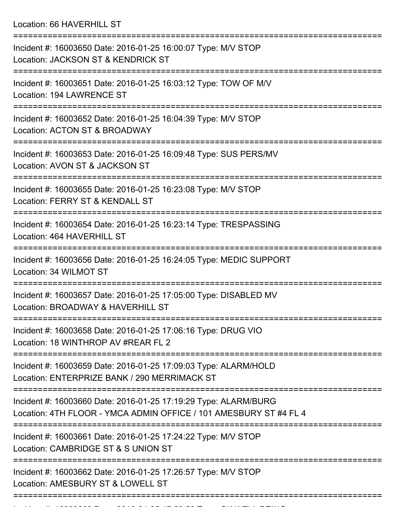Location: 66 HAVERHILL ST

| Incident #: 16003650 Date: 2016-01-25 16:00:07 Type: M/V STOP<br>Location: JACKSON ST & KENDRICK ST                                  |
|--------------------------------------------------------------------------------------------------------------------------------------|
| Incident #: 16003651 Date: 2016-01-25 16:03:12 Type: TOW OF M/V<br>Location: 194 LAWRENCE ST                                         |
| Incident #: 16003652 Date: 2016-01-25 16:04:39 Type: M/V STOP<br>Location: ACTON ST & BROADWAY                                       |
| Incident #: 16003653 Date: 2016-01-25 16:09:48 Type: SUS PERS/MV<br>Location: AVON ST & JACKSON ST                                   |
| Incident #: 16003655 Date: 2016-01-25 16:23:08 Type: M/V STOP<br>Location: FERRY ST & KENDALL ST                                     |
| Incident #: 16003654 Date: 2016-01-25 16:23:14 Type: TRESPASSING<br>Location: 464 HAVERHILL ST                                       |
| Incident #: 16003656 Date: 2016-01-25 16:24:05 Type: MEDIC SUPPORT<br>Location: 34 WILMOT ST                                         |
| Incident #: 16003657 Date: 2016-01-25 17:05:00 Type: DISABLED MV<br>Location: BROADWAY & HAVERHILL ST                                |
| Incident #: 16003658 Date: 2016-01-25 17:06:16 Type: DRUG VIO<br>Location: 18 WINTHROP AV #REAR FL 2                                 |
| Incident #: 16003659 Date: 2016-01-25 17:09:03 Type: ALARM/HOLD<br>Location: ENTERPRIZE BANK / 290 MERRIMACK ST                      |
| Incident #: 16003660 Date: 2016-01-25 17:19:29 Type: ALARM/BURG<br>Location: 4TH FLOOR - YMCA ADMIN OFFICE / 101 AMESBURY ST #4 FL 4 |
| Incident #: 16003661 Date: 2016-01-25 17:24:22 Type: M/V STOP<br>Location: CAMBRIDGE ST & S UNION ST                                 |
| Incident #: 16003662 Date: 2016-01-25 17:26:57 Type: M/V STOP<br>Location: AMESBURY ST & LOWELL ST                                   |
|                                                                                                                                      |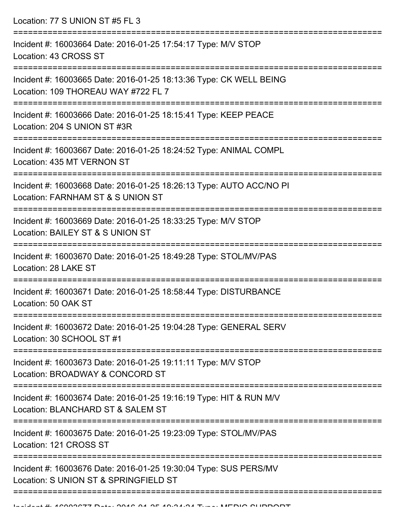Location: 77 S UNION ST #5 FL 3 =========================================================================== Incident #: 16003664 Date: 2016-01-25 17:54:17 Type: M/V STOP Location: 43 CROSS ST =========================================================================== Incident #: 16003665 Date: 2016-01-25 18:13:36 Type: CK WELL BEING Location: 109 THOREAU WAY #722 FL 7 =========================================================================== Incident #: 16003666 Date: 2016-01-25 18:15:41 Type: KEEP PEACE Location: 204 S UNION ST #3R =========================================================================== Incident #: 16003667 Date: 2016-01-25 18:24:52 Type: ANIMAL COMPL Location: 435 MT VERNON ST =========================================================================== Incident #: 16003668 Date: 2016-01-25 18:26:13 Type: AUTO ACC/NO PI Location: FARNHAM ST & S UNION ST =========================================================================== Incident #: 16003669 Date: 2016-01-25 18:33:25 Type: M/V STOP

Location: BAILEY ST & S UNION ST

===========================================================================

Incident #: 16003670 Date: 2016-01-25 18:49:28 Type: STOL/MV/PAS Location: 28 LAKE ST

===========================================================================

Incident #: 16003671 Date: 2016-01-25 18:58:44 Type: DISTURBANCE Location: 50 OAK ST

===========================================================================

Incident #: 16003672 Date: 2016-01-25 19:04:28 Type: GENERAL SERV Location: 30 SCHOOL ST #1

===========================================================================

Incident #: 16003673 Date: 2016-01-25 19:11:11 Type: M/V STOP

Location: BROADWAY & CONCORD ST

===========================================================================

Incident #: 16003674 Date: 2016-01-25 19:16:19 Type: HIT & RUN M/V

Location: BLANCHARD ST & SALEM ST

===========================================================================

Incident #: 16003675 Date: 2016-01-25 19:23:09 Type: STOL/MV/PAS

Location: 121 CROSS ST

===========================================================================

===========================================================================

Incident #: 16003676 Date: 2016-01-25 19:30:04 Type: SUS PERS/MV Location: S UNION ST & SPRINGFIELD ST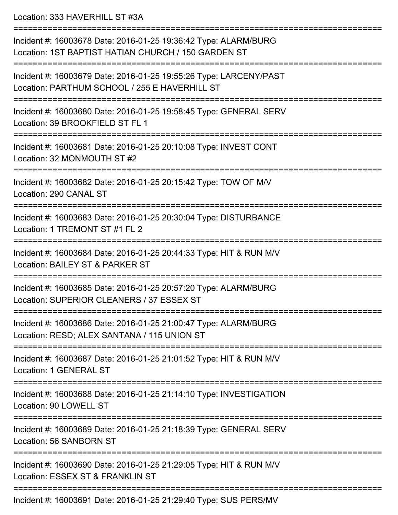Location: 333 HAVERHILL ST #3A

=========================================================================== Incident #: 16003678 Date: 2016-01-25 19:36:42 Type: ALARM/BURG Location: 1ST BAPTIST HATIAN CHURCH / 150 GARDEN ST =========================================================================== Incident #: 16003679 Date: 2016-01-25 19:55:26 Type: LARCENY/PAST Location: PARTHUM SCHOOL / 255 E HAVERHILL ST =========================================================================== Incident #: 16003680 Date: 2016-01-25 19:58:45 Type: GENERAL SERV Location: 39 BROOKFIELD ST FL 1 =========================================================================== Incident #: 16003681 Date: 2016-01-25 20:10:08 Type: INVEST CONT Location: 32 MONMOUTH ST #2 =========================================================================== Incident #: 16003682 Date: 2016-01-25 20:15:42 Type: TOW OF M/V Location: 290 CANAL ST =========================================================================== Incident #: 16003683 Date: 2016-01-25 20:30:04 Type: DISTURBANCE Location: 1 TREMONT ST #1 FL 2 =========================================================================== Incident #: 16003684 Date: 2016-01-25 20:44:33 Type: HIT & RUN M/V Location: BAILEY ST & PARKER ST =========================================================================== Incident #: 16003685 Date: 2016-01-25 20:57:20 Type: ALARM/BURG Location: SUPERIOR CLEANERS / 37 ESSEX ST =========================================================================== Incident #: 16003686 Date: 2016-01-25 21:00:47 Type: ALARM/BURG Location: RESD; ALEX SANTANA / 115 UNION ST =========================================================================== Incident #: 16003687 Date: 2016-01-25 21:01:52 Type: HIT & RUN M/V Location: 1 GENERAL ST =========================================================================== Incident #: 16003688 Date: 2016-01-25 21:14:10 Type: INVESTIGATION Location: 90 LOWELL ST =========================================================================== Incident #: 16003689 Date: 2016-01-25 21:18:39 Type: GENERAL SERV Location: 56 SANBORN ST =========================================================================== Incident #: 16003690 Date: 2016-01-25 21:29:05 Type: HIT & RUN M/V Location: ESSEX ST & FRANKLIN ST =========================================================================== Incident #: 16003691 Date: 2016-01-25 21:29:40 Type: SUS PERS/MV